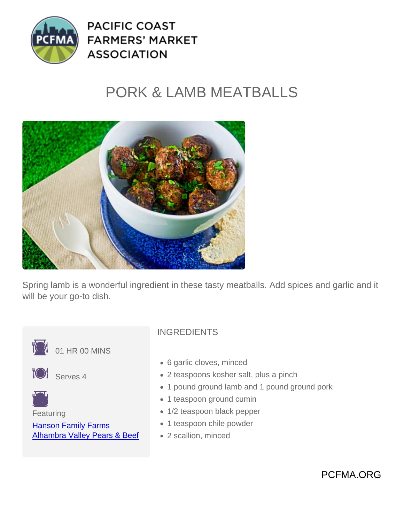## PORK & LAMB MEATBALLS

Spring lamb is a wonderful ingredient in these tasty meatballs. Add spices and garlic and it will be your go-to dish.



- 6 garlic cloves, minced
- 2 teaspoons kosher salt, plus a pinch
- 1 pound ground lamb and 1 pound ground pork
- 1 teaspoon ground cumin
- 1/2 teaspoon black pepper
- 1 teaspoon chile powder
- 2 scallion, minced